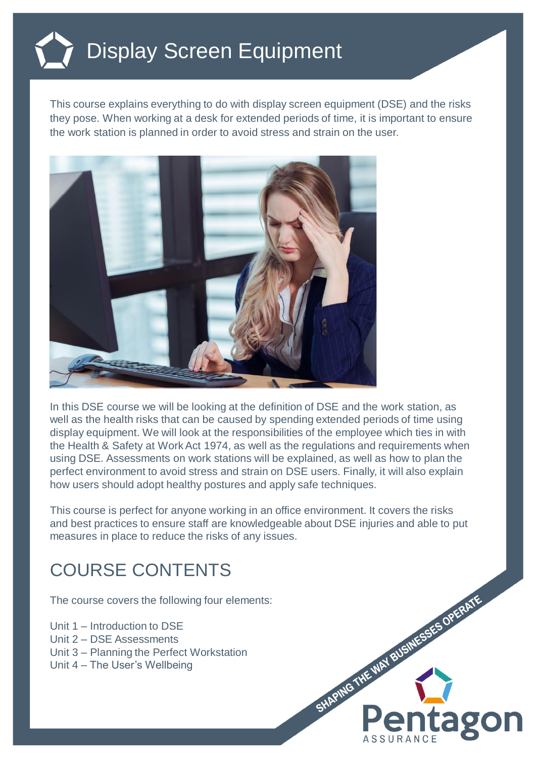## Display Screen Equipment

This course explains everything to do with display screen equipment (DSE) and the risks they pose. When working at a desk for extended periods of time, it is important to ensure the work station is planned in order to avoid stress and strain on the user.



In this DSE course we will be looking at the definition of DSE and the work station, as well as the health risks that can be caused by spending extended periods of time using display equipment. We will look at the responsibilities of the employee which ties in with the Health & Safety at Work Act 1974, as well as the regulations and requirements when using DSE. Assessments on work stations will be explained, as well as how to plan the perfect environment to avoid stress and strain on DSE users. Finally, it will also explain how users should adopt healthy postures and apply safe techniques.

This course is perfect for anyone working in an office environment. It covers the risks and best practices to ensure staff are knowledgeable about DSE injuries and able to put measures in place to reduce the risks of any issues.

## COURSE CONTENTS

The course covers the following four elements:

Unit 1 – Introduction to DSE Unit 2 – DSE Assessments Unit 3 – Planning the Perfect Workstation

Unit 4 – The User's Wellbeing